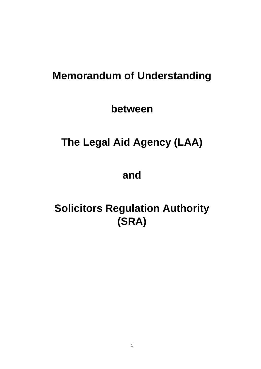# **Memorandum of Understanding**

**between**

# **The Legal Aid Agency (LAA)**

**and**

# **Solicitors Regulation Authority (SRA)**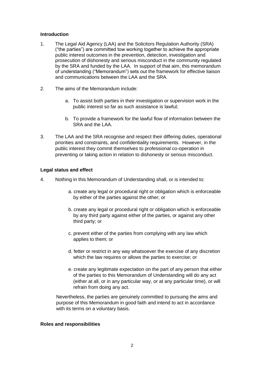#### **Introduction**

- 1. The Legal Aid Agency (LAA) and the Solicitors Regulation Authority (SRA) ("the parties") are committed tow working together to achieve the appropriate public interest outcomes in the prevention, detection, investigation and prosecution of dishonesty and serious misconduct in the community regulated by the SRA and funded by the LAA. In support of that aim, this memorandum of understanding ("Memorandum") sets out the framework for effective liaison and communications between the LAA and the SRA.
- 2. The aims of the Memorandum include:
	- a. To assist both parties in their investigation or supervision work in the public interest so far as such assistance is lawful;
	- b. To provide a framework for the lawful flow of information between the SRA and the LAA.
- 3. The LAA and the SRA recognise and respect their differing duties, operational priorities and constraints, and confidentiality requirements. However, in the public interest they commit themselves to professional co-operation in preventing or taking action in relation to dishonesty or serious misconduct.

#### **Legal status and effect**

- 4. Nothing in this Memorandum of Understanding shall, or is intended to:
	- a. create any legal or procedural right or obligation which is enforceable by either of the parties against the other; or
	- b. create any legal or procedural right or obligation which is enforceable by any third party against either of the parties, or against any other third party; or
	- c. prevent either of the parties from complying with any law which applies to them; or
	- d. fetter or restrict in any way whatsoever the exercise of any discretion which the law requires or allows the parties to exercise; or
	- e. create any legitimate expectation on the part of any person that either of the parties to this Memorandum of Understanding will do any act (either at all, or in any particular way, or at any particular time), or will refrain from doing any act.

Nevertheless, the parties are genuinely committed to pursuing the aims and purpose of this Memorandum in good faith and intend to act in accordance with its terms on a voluntary basis.

#### **Roles and responsibilities**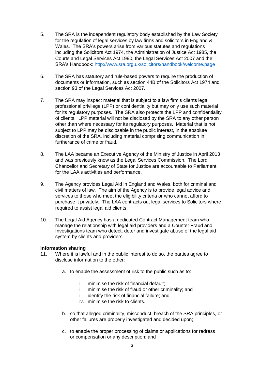- 5. The SRA is the independent regulatory body established by the Law Society for the regulation of legal services by law firms and solicitors in England & Wales. The SRA's powers arise from various statutes and regulations including the Solicitors Act 1974, the Administration of Justice Act 1985, the Courts and Legal Services Act 1990, the Legal Services Act 2007 and the SRA's Handbook:<http://www.sra.org.uk/solicitors/handbook/welcome.page>
- 6. The SRA has statutory and rule-based powers to require the production of documents or information, such as section 44B of the Solicitors Act 1974 and section 93 of the Legal Services Act 2007.
- 7. The SRA may inspect material that is subject to a law firm's clients legal professional privilege (LPP) or confidentiality but may only use such material for its regulatory purposes. The SRA also protects the LPP and confidentiality of clients. LPP material will not be disclosed by the SRA to any other person other than where necessary for its regulatory purposes. Material that is not subject to LPP may be disclosable in the public interest, in the absolute discretion of the SRA, including material comprising communication in furtherance of crime or fraud.
- 8. The LAA became an Executive Agency of the Ministry of Justice in April 2013 and was previously know as the Legal Services Commission. The Lord Chancellor and Secretary of State for Justice are accountable to Parliament for the LAA's activities and performance.
- 9. The Agency provides Legal Aid in England and Wales, both for criminal and civil matters of law. The aim of the Agency is to provide legal advice and services to those who meet the eligibility criteria or who cannot afford to purchase it privately. The LAA contracts out legal services to Solicitors where required to assist legal aid clients.
- 10. The Legal Aid Agency has a dedicated Contract Management team who manage the relationship with legal aid providers and a Counter Fraud and Investigations team who detect, deter and investigate abuse of the legal aid system by clients and providers.

### **Information sharing**

- 11. Where it is lawful and in the public interest to do so, the parties agree to disclose information to the other:
	- a. to enable the assessment of risk to the public such as to:
		- i. minimise the risk of financial default;
		- ii. minimise the risk of fraud or other criminality; and
		- iii. identify the risk of financial failure; and
		- iv. minimise the risk to clients.
	- b. so that alleged criminality, misconduct, breach of the SRA principles, or other failures are properly investigated and decided upon;
	- c. to enable the proper processing of claims or applications for redress or compensation or any description; and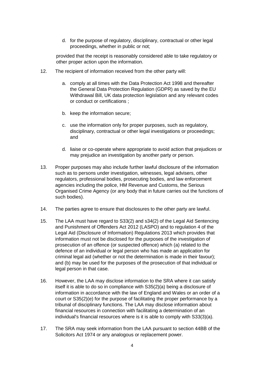d. for the purpose of regulatory, disciplinary, contractual or other legal proceedings, whether in public or not;

provided that the receipt is reasonably considered able to take regulatory or other proper action upon the information.

- 12. The recipient of information received from the other party will:
	- a. comply at all times with the Data Protection Act 1998 and thereafter the General Data Protection Regulation (GDPR) as saved by the EU Withdrawal Bill, UK data protection legislation and any relevant codes or conduct or certifications ;
	- b. keep the information secure;
	- c. use the information only for proper purposes, such as regulatory, disciplinary, contractual or other legal investigations or proceedings; and
	- d. liaise or co-operate where appropriate to avoid action that prejudices or may prejudice an investigation by another party or person.
- 13. Proper purposes may also include further lawful disclosure of the information such as to persons under investigation, witnesses, legal advisers, other regulators, professional bodies, prosecuting bodies, and law enforcement agencies including the police, HM Revenue and Customs, the Serious Organised Crime Agency (or any body that in future carries out the functions of such bodies).
- 14. The parties agree to ensure that disclosures to the other party are lawful.
- 15. The LAA must have regard to S33(2) and s34(2) of the Legal Aid Sentencing and Punishment of Offenders Act 2012 (LASPO) and to regulation 4 of the Legal Aid (Disclosure of Information) Regulations 2013 which provides that information must not be disclosed for the purposes of the investigation of prosecution of an offence (or suspected offence) which (a) related to the defence of an individual or legal person who has made an application for criminal legal aid (whether or not the determination is made in their favour); and (b) may be used for the purposes of the prosecution of that individual or legal person in that case.
- 16. However, the LAA may disclose information to the SRA where it can satisfy itself it is able to do so in compliance with S35(2)(a) being a disclosure of information in accordance with the law of England and Wales or an order of a court or S35(2)(e) for the purpose of facilitating the proper performance by a tribunal of disciplinary functions. The LAA may disclose information about financial resources in connection with facilitating a determination of an individual's financial resources where is it is able to comply with S33(3)(a).
- 17. The SRA may seek information from the LAA pursuant to section 44BB of the Solicitors Act 1974 or any analogous or replacement power.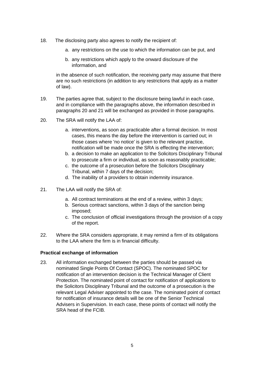- 18. The disclosing party also agrees to notify the recipient of:
	- a. any restrictions on the use to which the information can be put, and
	- b. any restrictions which apply to the onward disclosure of the information, and

in the absence of such notification, the receiving party may assume that there are no such restrictions (in addition to any restrictions that apply as a matter of law).

- 19. The parties agree that, subject to the disclosure being lawful in each case, and in compliance with the paragraphs above, the information described in paragraphs 20 and 21 will be exchanged as provided in those paragraphs.
- 20. The SRA will notify the LAA of:
	- a. interventions, as soon as practicable after a formal decision. In most cases, this means the day before the intervention is carried out; in those cases where 'no notice' is given to the relevant practice, notification will be made once the SRA is effecting the intervention;
	- b. a decision to make an application to the Solicitors Disciplinary Tribunal to prosecute a firm or individual, as soon as reasonably practicable;
	- c. the outcome of a prosecution before the Solicitors Disciplinary Tribunal, within 7 days of the decision;
	- d. The inability of a providers to obtain indemnity insurance.
- 21. The LAA will notify the SRA of:
	- a. All contract terminations at the end of a review, within 3 days;
	- b. Serious contract sanctions, within 3 days of the sanction being imposed;
	- c. The conclusion of official investigations through the provision of a copy of the report.
- 22. Where the SRA considers appropriate, it may remind a firm of its obligations to the LAA where the firm is in financial difficulty.

## **Practical exchange of information**

23. All information exchanged between the parties should be passed via nominated Single Points Of Contact (SPOC). The nominated SPOC for notification of an intervention decision is the Technical Manager of Client Protection. The nominated point of contact for notification of applications to the Solicitors Disciplinary Tribunal and the outcome of a prosecution is the relevant Legal Adviser appointed to the case. The nominated point of contact for notification of insurance details will be one of the Senior Technical Advisers in Supervision. In each case, these points of contact will notify the SRA head of the FCIB.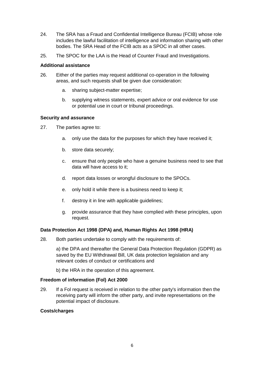- 24. The SRA has a Fraud and Confidential Intelligence Bureau (FCIB) whose role includes the lawful facilitation of intelligence and information sharing with other bodies. The SRA Head of the FCIB acts as a SPOC in all other cases.
- 25. The SPOC for the LAA is the Head of Counter Fraud and Investigations.

#### **Additional assistance**

- 26. Either of the parties may request additional co-operation in the following areas, and such requests shall be given due consideration:
	- a. sharing subject-matter expertise;
	- b. supplying witness statements, expert advice or oral evidence for use or potential use in court or tribunal proceedings.

### **Security and assurance**

- 27. The parties agree to:
	- a. only use the data for the purposes for which they have received it;
	- b. store data securely;
	- c. ensure that only people who have a genuine business need to see that data will have access to it;
	- d. report data losses or wrongful disclosure to the SPOCs.
	- e. only hold it while there is a business need to keep it;
	- f. destroy it in line with applicable guidelines;
	- g. provide assurance that they have complied with these principles, upon request.

### **Data Protection Act 1998 (DPA) and, Human Rights Act 1998 (HRA)**

28. Both parties undertake to comply with the requirements of:

a) the DPA and thereafter the General Data Protection Regulation (GDPR) as saved by the EU Withdrawal Bill, UK data protection legislation and any relevant codes of conduct or certifications and

b) the HRA in the operation of this agreement.

#### **Freedom of information (Fol) Act 2000**

29. If a Fol request is received in relation to the other party's information then the receiving party will inform the other party, and invite representations on the potential impact of disclosure.

#### **Costs/charges**